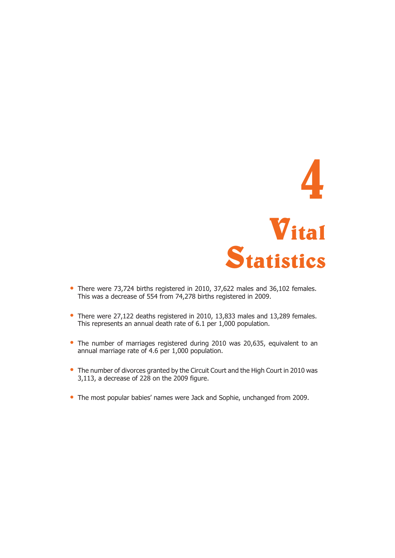

- There were 73,724 births registered in 2010, 37,622 males and 36,102 females. This was a decrease of 554 from 74,278 births registered in 2009.
- There were 27,122 deaths registered in 2010, 13,833 males and 13,289 females. This represents an annual death rate of 6.1 per 1,000 population.
- The number of marriages registered during 2010 was 20,635, equivalent to an annual marriage rate of 4.6 per 1,000 population.
- The number of divorces granted by the Circuit Court and the High Court in 2010 was 3,113, a decrease of 228 on the 2009 figure.
- The most popular babies' names were Jack and Sophie, unchanged from 2009.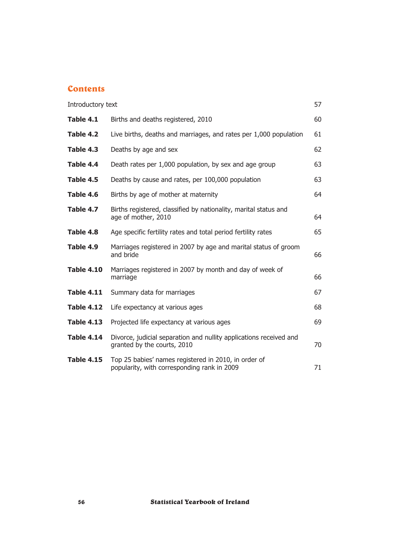# **Contents**

| Introductory text |                                                                                                     | 57 |
|-------------------|-----------------------------------------------------------------------------------------------------|----|
| Table 4.1         | Births and deaths registered, 2010                                                                  | 60 |
| Table 4.2         | Live births, deaths and marriages, and rates per 1,000 population                                   | 61 |
| Table 4.3         | Deaths by age and sex                                                                               | 62 |
| Table 4.4         | Death rates per 1,000 population, by sex and age group                                              | 63 |
| Table 4.5         | Deaths by cause and rates, per 100,000 population                                                   | 63 |
| Table 4.6         | Births by age of mother at maternity                                                                | 64 |
| Table 4.7         | Births registered, classified by nationality, marital status and<br>age of mother, 2010             | 64 |
| Table 4.8         | Age specific fertility rates and total period fertility rates                                       | 65 |
| Table 4.9         | Marriages registered in 2007 by age and marital status of groom<br>and bride                        | 66 |
| <b>Table 4.10</b> | Marriages registered in 2007 by month and day of week of<br>marriage                                | 66 |
| <b>Table 4.11</b> | Summary data for marriages                                                                          | 67 |
| <b>Table 4.12</b> | Life expectancy at various ages                                                                     | 68 |
| <b>Table 4.13</b> | Projected life expectancy at various ages                                                           | 69 |
| <b>Table 4.14</b> | Divorce, judicial separation and nullity applications received and<br>granted by the courts, 2010   | 70 |
| <b>Table 4.15</b> | Top 25 babies' names registered in 2010, in order of<br>popularity, with corresponding rank in 2009 | 71 |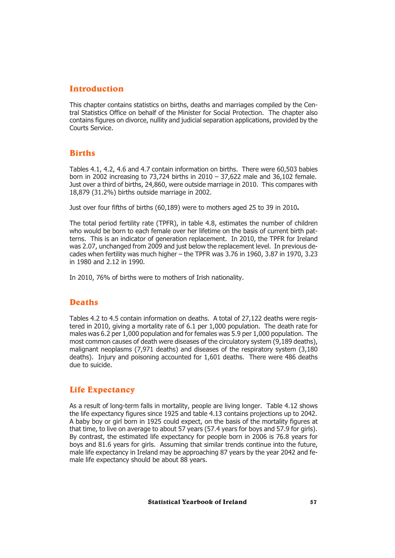# Introduction

This chapter contains statistics on births, deaths and marriages compiled by the Central Statistics Office on behalf of the Minister for Social Protection. The chapter also contains figures on divorce, nullity and judicial separation applications, provided by the Courts Service.

# Births

Tables 4.1, 4.2, 4.6 and 4.7 contain information on births. There were 60,503 babies born in 2002 increasing to 73,724 births in  $2010 - 37,622$  male and 36,102 female. Just over a third of births, 24,860, were outside marriage in 2010. This compares with 18,879 (31.2%) births outside marriage in 2002.

Just over four fifths of births (60,189) were to mothers aged 25 to 39 in 2010**.**

The total period fertility rate (TPFR), in table 4.8, estimates the number of children who would be born to each female over her lifetime on the basis of current birth patterns. This is an indicator of generation replacement. In 2010, the TPFR for Ireland was 2.07, unchanged from 2009 and just below the replacement level. In previous decades when fertility was much higher – the TPFR was 3.76 in 1960, 3.87 in 1970, 3.23 in 1980 and 2.12 in 1990.

In 2010, 76% of births were to mothers of Irish nationality.

# Deaths

Tables 4.2 to 4.5 contain information on deaths. A total of 27,122 deaths were registered in 2010, giving a mortality rate of 6.1 per 1,000 population. The death rate for males was 6.2 per 1,000 population and for females was 5.9 per 1,000 population. The most common causes of death were diseases of the circulatory system (9,189 deaths), malignant neoplasms (7,971 deaths) and diseases of the respiratory system (3,180 deaths). Injury and poisoning accounted for 1,601 deaths. There were 486 deaths due to suicide.

# Life Expectancy

As a result of long-term falls in mortality, people are living longer. Table 4.12 shows the life expectancy figures since 1925 and table 4.13 contains projections up to 2042. A baby boy or girl born in 1925 could expect, on the basis of the mortality figures at that time, to live on average to about 57 years (57.4 years for boys and 57.9 for girls). By contrast, the estimated life expectancy for people born in 2006 is 76.8 years for boys and 81.6 years for girls. Assuming that similar trends continue into the future, male life expectancy in Ireland may be approaching 87 years by the year 2042 and female life expectancy should be about 88 years.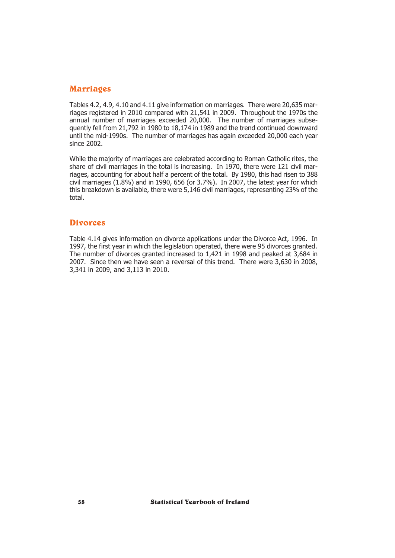# Marriages

Tables 4.2, 4.9, 4.10 and 4.11 give information on marriages. There were 20,635 marriages registered in 2010 compared with 21,541 in 2009. Throughout the 1970s the annual number of marriages exceeded 20,000. The number of marriages subsequently fell from 21,792 in 1980 to 18,174 in 1989 and the trend continued downward until the mid-1990s. The number of marriages has again exceeded 20,000 each year since 2002.

While the majority of marriages are celebrated according to Roman Catholic rites, the share of civil marriages in the total is increasing. In 1970, there were 121 civil marriages, accounting for about half a percent of the total. By 1980, this had risen to 388 civil marriages  $(1.8\%)$  and in 1990, 656 (or 3.7%). In 2007, the latest year for which this breakdown is available, there were 5,146 civil marriages, representing 23% of the total.

## **Divorces**

Table 4.14 gives information on divorce applications under the Divorce Act, 1996. In 1997, the first year in which the legislation operated, there were 95 divorces granted. The number of divorces granted increased to 1,421 in 1998 and peaked at 3,684 in 2007. Since then we have seen a reversal of this trend. There were 3,630 in 2008, 3,341 in 2009, and 3,113 in 2010.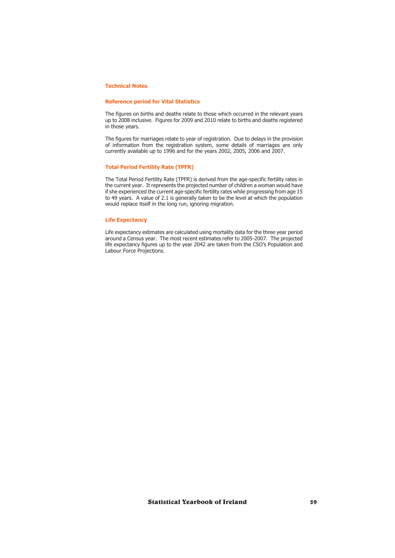#### **Technical Notes**

#### **Reference period for Vital Statistics**

The figures on births and deaths relate to those which occurred in the relevant years up to 2008 inclusive. Figures for 2009 and 2010 relate to births and deaths registered in those years.

The figures for marriages relate to year of registration. Due to delays in the provision of information from the registration system, some details of marriages are only currently available up to 1996 and for the years 2002, 2005, 2006 and 2007.

#### **Total Period Fertility Rate (TPFR)**

The Total Period Fertility Rate (TPFR) is derived from the age-specific fertility rates in the current year. It represents the projected number of children a woman would have if she experienced the current age-specific fertility rates while progressing from age 15 to 49 years. A value of 2.1 is generally taken to be the level at which the population would replace itself in the long run, ignoring migration.

#### **Life Expectancy**

Life expectancy estimates are calculated using mortality data for the three year period around a Census year. The most recent estimates refer to 2005-2007. The projected life expectancy figures up to the year 2042 are taken from the CSO's Population and Labour Force Projections.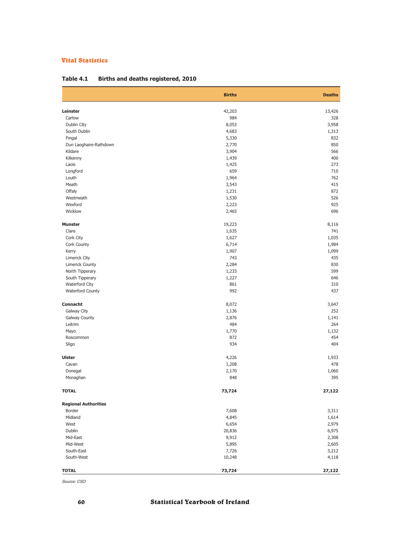|                             | <b>Births</b>  | <b>Deaths</b> |
|-----------------------------|----------------|---------------|
| Leinster                    | 42,203         | 13,426        |
| Carlow                      | 984            | 328           |
| Dublin City                 | 8,053          | 3,958         |
| South Dublin                | 4,683          | 1,313         |
| Fingal                      | 5,330          | 832           |
| Dun Laoghaire-Rathdown      | 2,770          | 850           |
| Kildare                     | 3,904          | 566           |
| Kilkenny                    | 1,439          | 400           |
| Laois                       | 1,425          | 273           |
| Longford                    | 659            | 710           |
| Louth                       | 1,964          | 762           |
| Meath                       | 3,543          | 415           |
| Offaly                      | 1,231          | 872           |
| Westmeath                   | 1,530          | 526           |
| Wexford                     | 2,223          | 925           |
| Wicklow                     | 2,465          | 696           |
| <b>Munster</b>              | 19,223         | 8,116         |
| Clare                       | 1,635          | 741           |
| Cork City                   | 1,627          | 1,035         |
| Cork County                 | 6,714          | 1,984         |
| Kerry                       | 1,907          | 1,099         |
| Limerick City               | 743            | 435           |
| <b>Limerick County</b>      | 2,284          | 830           |
| North Tipperary             | 1,233          | 599           |
| South Tipperary             | 1,227          | 646           |
| Waterford City              | 861            | 310           |
| Waterford County            | 992            | 437           |
| Connacht                    | 8,072          | 3,647         |
| Galway City                 | 1,136          | 252           |
| <b>Galway County</b>        | 2,876          | 1,141         |
| Leitrim                     | 484            | 264           |
| Mayo                        | 1,770          | 1,132         |
| Roscommon<br>Sligo          | 872<br>934     | 454<br>404    |
|                             |                |               |
| <b>Ulster</b>               | 4,226          | 1,933         |
| Cavan                       | 1,208<br>2,170 | 478           |
| Donegal<br>Monaghan         | 848            | 1,060<br>395  |
| <b>TOTAL</b>                | 73,724         | 27,122        |
| <b>Regional Authorities</b> |                |               |
| Border                      | 7,608          | 3,311         |
| Midland                     | 4,845          | 1,614         |
| West                        | 6,654          | 2,979         |
| Dublin                      | 20,836         | 6,975         |
| Mid-East                    | 9,912          | 2,308         |
| Mid-West                    | 5,895          | 2,605         |
| South-East                  | 7,726          | 3,212         |
| South-West                  | 10,248         | 4,118         |
| <b>TOTAL</b>                | 73,724         | 27,122        |

## **Table 4.1 Births and deaths registered, 2010**

*Source: CSO*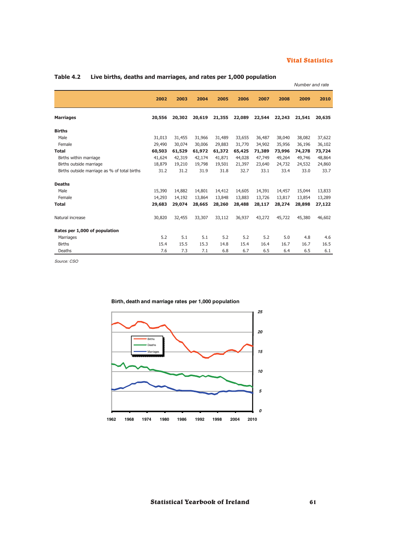|                                              |        |        |        |        |        |        |        | Number and rate |        |
|----------------------------------------------|--------|--------|--------|--------|--------|--------|--------|-----------------|--------|
|                                              | 2002   | 2003   | 2004   | 2005   | 2006   | 2007   | 2008   | 2009            | 2010   |
| <b>Marriages</b>                             | 20,556 | 20,302 | 20,619 | 21,355 | 22,089 | 22,544 | 22,243 | 21,541          | 20,635 |
| <b>Births</b>                                |        |        |        |        |        |        |        |                 |        |
| Male                                         | 31,013 | 31,455 | 31,966 | 31,489 | 33,655 | 36,487 | 38,040 | 38,082          | 37,622 |
| Female                                       | 29,490 | 30,074 | 30,006 | 29,883 | 31,770 | 34,902 | 35,956 | 36,196          | 36,102 |
| <b>Total</b>                                 | 60,503 | 61,529 | 61,972 | 61,372 | 65,425 | 71,389 | 73,996 | 74,278          | 73,724 |
| Births within marriage                       | 41,624 | 42,319 | 42,174 | 41,871 | 44,028 | 47,749 | 49,264 | 49,746          | 48,864 |
| Births outside marriage                      | 18,879 | 19,210 | 19,798 | 19,501 | 21,397 | 23,640 | 24,732 | 24,532          | 24,860 |
| Births outside marriage as % of total births | 31.2   | 31.2   | 31.9   | 31.8   | 32.7   | 33.1   | 33.4   | 33.0            | 33.7   |
| <b>Deaths</b>                                |        |        |        |        |        |        |        |                 |        |
| Male                                         | 15,390 | 14,882 | 14,801 | 14,412 | 14,605 | 14,391 | 14,457 | 15,044          | 13,833 |
| Female                                       | 14,293 | 14,192 | 13,864 | 13,848 | 13,883 | 13,726 | 13,817 | 13,854          | 13,289 |
| <b>Total</b>                                 | 29,683 | 29,074 | 28,665 | 28,260 | 28,488 | 28,117 | 28,274 | 28,898          | 27,122 |
| Natural increase                             | 30,820 | 32,455 | 33,307 | 33,112 | 36,937 | 43,272 | 45,722 | 45,380          | 46,602 |
| Rates per 1,000 of population                |        |        |        |        |        |        |        |                 |        |
| Marriages                                    | 5.2    | 5.1    | 5.1    | 5.2    | 5.2    | 5.2    | 5.0    | 4.8             | 4.6    |
| <b>Births</b>                                | 15.4   | 15.5   | 15.3   | 14.8   | 15.4   | 16.4   | 16.7   | 16.7            | 16.5   |
| Deaths                                       | 7.6    | 7.3    | 7.1    | 6.8    | 6.7    | 6.5    | 6.4    | 6.5             | 6.1    |

## **Table 4.2 Live births, deaths and marriages, and rates per 1,000 population**

*Source: CSO*



#### **Birth, death and marriage rates per 1,000 population**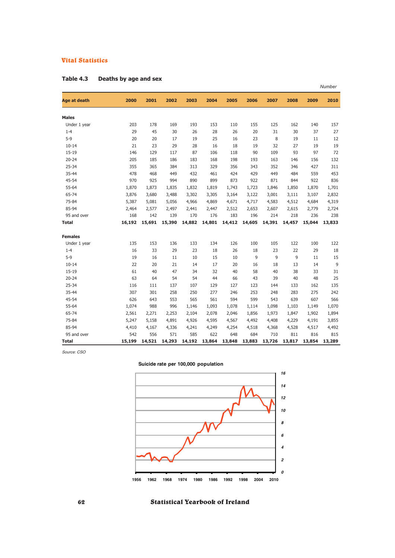|                |        |        |        |        |        |        |        |        |        |        | Number |
|----------------|--------|--------|--------|--------|--------|--------|--------|--------|--------|--------|--------|
| Age at death   | 2000   | 2001   | 2002   | 2003   | 2004   | 2005   | 2006   | 2007   | 2008   | 2009   | 2010   |
| <b>Males</b>   |        |        |        |        |        |        |        |        |        |        |        |
| Under 1 year   | 203    | 178    | 169    | 193    | 153    | 110    | 155    | 125    | 162    | 140    | 157    |
| $1 - 4$        | 29     | 45     | 30     | 26     | 28     | 26     | 20     | 31     | 30     | 37     | 27     |
| $5 - 9$        | 20     | 20     | 17     | 19     | 25     | 16     | 23     | 8      | 19     | 11     | 12     |
| $10 - 14$      | 21     | 23     | 29     | 28     | 16     | 18     | 19     | 32     | 27     | 19     | 19     |
| $15 - 19$      | 146    | 129    | 117    | 87     | 106    | 118    | 90     | 109    | 93     | 97     | 72     |
| $20 - 24$      | 205    | 185    | 186    | 183    | 168    | 198    | 193    | 163    | 146    | 156    | 132    |
| 25-34          | 355    | 365    | 384    | 313    | 329    | 356    | 343    | 352    | 346    | 427    | 311    |
| 35-44          | 478    | 468    | 449    | 432    | 461    | 424    | 429    | 449    | 484    | 559    | 453    |
| 45-54          | 970    | 925    | 994    | 890    | 899    | 873    | 922    | 871    | 844    | 922    | 836    |
| 55-64          | 1,870  | 1,873  | 1,835  | 1,832  | 1,819  | 1,743  | 1,723  | 1,846  | 1,850  | 1,870  | 1,701  |
| 65-74          | 3,876  | 3,680  | 3,488  | 3,302  | 3,305  | 3,164  | 3,122  | 3,001  | 3,111  | 3,107  | 2,832  |
| 75-84          | 5,387  | 5,081  | 5,056  | 4,966  | 4,869  | 4,671  | 4,717  | 4,583  | 4,512  | 4,684  | 4,319  |
| 85-94          | 2,464  | 2,577  | 2,497  | 2,441  | 2,447  | 2,512  | 2,653  | 2,607  | 2,615  | 2,779  | 2,724  |
| 95 and over    | 168    | 142    | 139    | 170    | 176    | 183    | 196    | 214    | 218    | 236    | 238    |
| <b>Total</b>   | 16,192 | 15,691 | 15,390 | 14,882 | 14,801 | 14,412 | 14,605 | 14,391 | 14,457 | 15,044 | 13,833 |
| <b>Females</b> |        |        |        |        |        |        |        |        |        |        |        |
| Under 1 year   | 135    | 153    | 136    | 133    | 134    | 126    | 100    | 105    | 122    | 100    | 122    |
| $1 - 4$        | 16     | 33     | 29     | 23     | 18     | 26     | 18     | 23     | 22     | 29     | 18     |
| $5 - 9$        | 19     | 16     | 11     | 10     | 15     | 10     | 9      | 9      | 9      | 11     | 15     |
| $10 - 14$      | 22     | 20     | 21     | 14     | 17     | 20     | 16     | 18     | 13     | 14     | 9      |
| $15 - 19$      | 61     | 40     | 47     | 34     | 32     | 40     | 58     | 40     | 38     | 33     | 31     |
| $20 - 24$      | 63     | 64     | 54     | 54     | 44     | 66     | 43     | 39     | 40     | 48     | 25     |
| 25-34          | 116    | 111    | 137    | 107    | 129    | 127    | 123    | 144    | 133    | 162    | 135    |
| 35-44          | 307    | 301    | 258    | 250    | 277    | 246    | 253    | 248    | 283    | 275    | 242    |
| 45-54          | 626    | 643    | 553    | 565    | 561    | 594    | 599    | 543    | 639    | 607    | 566    |
| 55-64          | 1,074  | 988    | 996    | 1,146  | 1,093  | 1,078  | 1,114  | 1,098  | 1,103  | 1,149  | 1,070  |
| 65-74          | 2,561  | 2,271  | 2,253  | 2,104  | 2,078  | 2,046  | 1,856  | 1,973  | 1,847  | 1,902  | 1,894  |
| 75-84          | 5,247  | 5,158  | 4,891  | 4,926  | 4,595  | 4,567  | 4,492  | 4,408  | 4,229  | 4,191  | 3,855  |
| 85-94          | 4,410  | 4,167  | 4,336  | 4,241  | 4,249  | 4,254  | 4,518  | 4,368  | 4,528  | 4,517  | 4,492  |
| 95 and over    | 542    | 556    | 571    | 585    | 622    | 648    | 684    | 710    | 811    | 816    | 815    |
| <b>Total</b>   | 15,199 | 14,521 | 14,293 | 14,192 | 13,864 | 13,848 | 13,883 | 13,726 | 13,817 | 13,854 | 13,289 |

| Table 4.3<br>Deaths by age and sex |  |
|------------------------------------|--|
|------------------------------------|--|

*Source: CSO*



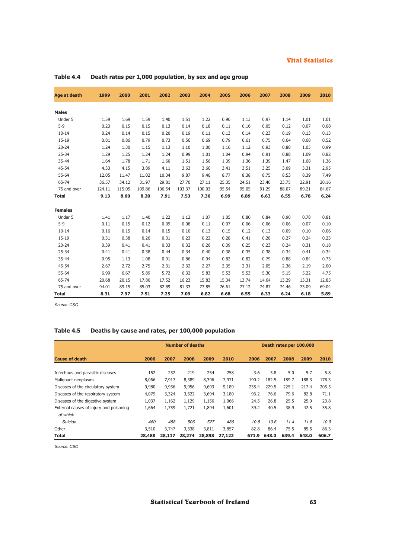| <b>Age at death</b> | 1999   | 2000   | 2001   | 2002   | 2003   | 2004   | 2005  | 2006  | 2007  | 2008  | 2009  | 2010  |
|---------------------|--------|--------|--------|--------|--------|--------|-------|-------|-------|-------|-------|-------|
|                     |        |        |        |        |        |        |       |       |       |       |       |       |
| <b>Males</b>        |        |        |        |        |        |        |       |       |       |       |       |       |
| Under 5             | 1.59   | 1.69   | 1.59   | 1.40   | 1.51   | 1.22   | 0.90  | 1.13  | 0.97  | 1.14  | 1.01  | 1.01  |
| $5 - 9$             | 0.23   | 0.15   | 0.15   | 0.13   | 0.14   | 0.18   | 0.11  | 0.16  | 0.05  | 0.12  | 0.07  | 0.08  |
| $10 - 14$           | 0.24   | 0.14   | 0.15   | 0.20   | 0.19   | 0.11   | 0.13  | 0.14  | 0.23  | 0.19  | 0.13  | 0.13  |
| $15 - 19$           | 0.81   | 0.86   | 0.79   | 0.73   | 0.56   | 0.69   | 0.79  | 0.61  | 0.75  | 0.64  | 0.68  | 0.52  |
| $20 - 24$           | 1.24   | 1.30   | 1.15   | 1.13   | 1.10   | 1.00   | 1.16  | 1.12  | 0.93  | 0.88  | 1.05  | 0.99  |
| 25-34               | 1.29   | 1.25   | 1.24   | 1.24   | 0.99   | 1.01   | 1.04  | 0.94  | 0.91  | 0.88  | 1.09  | 0.82  |
| 35-44               | 1.64   | 1.78   | 1.71   | 1.60   | 1.51   | 1.56   | 1.39  | 1.36  | 1.39  | 1.47  | 1.68  | 1.36  |
| 45-54               | 4.33   | 4.15   | 3.89   | 4.11   | 3.63   | 3.60   | 3.41  | 3.51  | 3.25  | 3.09  | 3.31  | 2.95  |
| 55-64               | 12.05  | 11.47  | 11.02  | 10.34  | 9.87   | 9.46   | 8.77  | 8.38  | 8.75  | 8.53  | 8.39  | 7.49  |
| 65-74               | 36.57  | 34.12  | 31.97  | 29.81  | 27.70  | 27.11  | 25.35 | 24.51 | 23.46 | 23.75 | 22.91 | 20.16 |
| 75 and over         | 124.11 | 115.05 | 109.86 | 106.54 | 103.37 | 100.03 | 95.54 | 95.05 | 91.29 | 88.07 | 89.21 | 84.67 |
| <b>Total</b>        | 9.13   | 8.60   | 8.20   | 7.91   | 7.53   | 7.36   | 6.99  | 6.89  | 6.63  | 6.55  | 6.78  | 6.24  |
| <b>Females</b>      |        |        |        |        |        |        |       |       |       |       |       |       |
| Under 5             | 1.41   | 1.17   | 1.40   | 1.22   | 1.12   | 1.07   | 1.05  | 0.80  | 0.84  | 0.90  | 0.78  | 0.81  |
| $5 - 9$             | 0.11   | 0.15   | 0.12   | 0.09   | 0.08   | 0.11   | 0.07  | 0.06  | 0.06  | 0.06  | 0.07  | 0.10  |
| $10 - 14$           | 0.16   | 0.15   | 0.14   | 0.15   | 0.10   | 0.13   | 0.15  | 0.12  | 0.13  | 0.09  | 0.10  | 0.06  |
| $15 - 19$           | 0.31   | 0.38   | 0.26   | 0.31   | 0.23   | 0.22   | 0.28  | 0.41  | 0.28  | 0.27  | 0.24  | 0.23  |
| $20 - 24$           | 0.39   | 0.41   | 0.41   | 0.33   | 0.32   | 0.26   | 0.39  | 0.25  | 0.23  | 0.24  | 0.31  | 0.18  |
| 25-34               | 0.41   | 0.41   | 0.38   | 0.44   | 0.34   | 0.40   | 0.38  | 0.35  | 0.38  | 0.34  | 0.41  | 0.34  |
| 35-44               | 0.95   | 1.13   | 1.08   | 0.91   | 0.86   | 0.94   | 0.82  | 0.82  | 0.79  | 0.88  | 0.84  | 0.73  |
| 45-54               | 2.67   | 2.72   | 2.75   | 2.31   | 2.32   | 2.27   | 2.35  | 2.31  | 2.05  | 2.36  | 2.19  | 2.00  |
| 55-64               | 6.99   | 6.67   | 5.89   | 5.72   | 6.32   | 5.83   | 5.53  | 5.53  | 5.30  | 5.15  | 5.22  | 4.75  |
| 65-74               | 20.68  | 20.15  | 17.80  | 17.52  | 16.23  | 15.83  | 15.34 | 13.74 | 14.64 | 13.29 | 13.31 | 12.85 |
| 75 and over         | 94.01  | 89.15  | 85.03  | 82.89  | 81.33  | 77.85  | 76.61 | 77.12 | 74.87 | 74.46 | 73.09 | 69.04 |
| <b>Total</b>        | 8.31   | 7.97   | 7.51   | 7.25   | 7.09   | 6.82   | 6.68  | 6.55  | 6.33  | 6.24  | 6.18  | 5.89  |

**Table 4.4 Death rates per 1,000 population, by sex and age group**

*Source: CSO*

# **Table 4.5 Deaths by cause and rates, per 100,000 population**

|                                         |        |        | <b>Number of deaths</b> |        |        |       | Death rates per 100,000 |       |       |       |  |
|-----------------------------------------|--------|--------|-------------------------|--------|--------|-------|-------------------------|-------|-------|-------|--|
| <b>Cause of death</b>                   | 2006   | 2007   | 2008                    | 2009   | 2010   | 2006  | 2007                    | 2008  | 2009  | 2010  |  |
|                                         | 152    | 252    | 219                     | 254    | 258    | 3.6   | 5.8                     | 5.0   | 5.7   | 5.8   |  |
| Infectious and parasitic diseases       |        |        |                         |        |        |       |                         |       |       |       |  |
| Malignant neoplasms                     | 8,066  | 7,917  | 8,389                   | 8,396  | 7,971  | 190.2 | 182.5                   | 189.7 | 188.3 | 178.3 |  |
| Diseases of the circulatory system      | 9,980  | 9,956  | 9,956                   | 9,693  | 9,189  | 235.4 | 229.5                   | 225.1 | 217.4 | 205.5 |  |
| Diseases of the respiratory system      | 4,079  | 3,324  | 3,522                   | 3,694  | 3,180  | 96.2  | 76.6                    | 79.6  | 82.8  | 71.1  |  |
| Diseases of the digestive system        | 1,037  | 1,162  | 1,129                   | 1,156  | 1,066  | 24.5  | 26.8                    | 25.5  | 25.9  | 23.8  |  |
| External causes of injury and poisoning | 1,664  | 1,759  | 1,721                   | 1,894  | 1,601  | 39.2  | 40.5                    | 38.9  | 42.5  | 35.8  |  |
| of which                                |        |        |                         |        |        |       |                         |       |       |       |  |
| Suicide                                 | 460    | 458    | 506                     | 527    | 486    | 10.8  | 10.6                    | 11.4  | 11.8  | 10.9  |  |
| Other                                   | 3,510  | 3,747  | 3,338                   | 3,811  | 3,857  | 82.8  | 86.4                    | 75.5  | 85.5  | 86.3  |  |
| Total                                   | 28,488 | 28,117 | 28,274                  | 28,898 | 27,122 | 671.9 | 648.0                   | 639.4 | 648.0 | 606.7 |  |

*Source: CSO*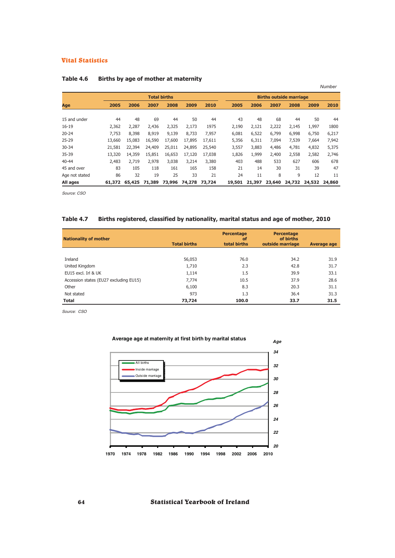|                |        |        |        |                     |        |        |        |        |                                |        |        | Number |
|----------------|--------|--------|--------|---------------------|--------|--------|--------|--------|--------------------------------|--------|--------|--------|
|                |        |        |        | <b>Total births</b> |        |        |        |        | <b>Births outside marriage</b> |        |        |        |
| Age            | 2005   | 2006   | 2007   | 2008                | 2009   | 2010   | 2005   | 2006   | 2007                           | 2008   | 2009   | 2010   |
| 15 and under   | 44     | 48     | 69     | 44                  | 50     | 44     | 43     | 48     | 68                             | 44     | 50     | 44     |
| $16 - 19$      | 2,362  | 2,287  | 2,436  | 2,325               | 2,173  | 1975   | 2,190  | 2,121  | 2,222                          | 2,145  | 1,997  | 1800   |
| $20 - 24$      | 7.753  | 8,398  | 8,919  | 9,139               | 8,733  | 7,957  | 6,081  | 6,522  | 6,799                          | 6,998  | 6,750  | 6,217  |
| $25 - 29$      | 13,660 | 15,083 | 16,590 | 17,600              | 17,895 | 17,611 | 5,356  | 6,311  | 7,094                          | 7,539  | 7,664  | 7,942  |
| $30 - 34$      | 21,581 | 22,394 | 24,409 | 25,011              | 24,895 | 25,540 | 3,557  | 3,883  | 4,486                          | 4,781  | 4,832  | 5,375  |
| 35-39          | 13,320 | 14,359 | 15,851 | 16,653              | 17,120 | 17,038 | 1,826  | 1,999  | 2,400                          | 2,558  | 2,582  | 2,746  |
| 40-44          | 2,483  | 2,719  | 2,978  | 3,038               | 3,214  | 3,380  | 403    | 488    | 533                            | 627    | 606    | 678    |
| 45 and over    | 83     | 105    | 118    | 161                 | 165    | 158    | 21     | 14     | 30                             | 31     | 39     | 47     |
| Age not stated | 86     | 32     | 19     | 25                  | 33     | 21     | 24     | 11     | 8                              | 9      | 12     | 11     |
| All ages       | 61,372 | 65,425 | 71,389 | 73,996              | 74,278 | 73,724 | 19,501 | 21,397 | 23,640                         | 24,732 | 24,532 | 24,860 |

## **Table 4.6 Births by age of mother at maternity**

*Source: CSO*

## **Table 4.7 Births registered, classified by nationality, marital status and age of mother, 2010**

| <b>Nationality of mother</b>           | <b>Total births</b> | Percentage<br><b>of</b><br>total births | Percentage<br>of births<br>outside marriage | <b>Average age</b> |
|----------------------------------------|---------------------|-----------------------------------------|---------------------------------------------|--------------------|
|                                        |                     |                                         |                                             |                    |
| Ireland                                | 56,053              | 76.0                                    | 34.2                                        | 31.9               |
| United Kingdom                         | 1,710               | 2.3                                     | 42.8                                        | 31.7               |
| EU15 excl. Irl & UK                    | 1,114               | 1.5                                     | 39.9                                        | 33.1               |
| Accession states (EU27 excluding EU15) | 7,774               | 10.5                                    | 37.9                                        | 28.6               |
| Other                                  | 6,100               | 8.3                                     | 20.3                                        | 31.1               |
| Not stated                             | 973                 | 1.3                                     | 36.4                                        | 31.3               |
| <b>Total</b>                           | 73,724              | 100.0                                   | 33.7                                        | 31.5               |

*Source: CSO*

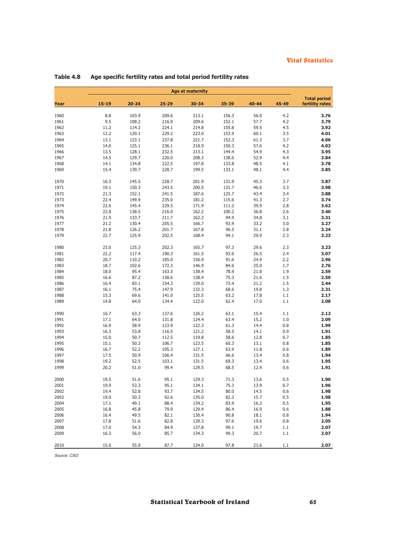|              | <b>Age at maternity</b> |              |               |                |              |              |            |                                        |  |  |  |  |
|--------------|-------------------------|--------------|---------------|----------------|--------------|--------------|------------|----------------------------------------|--|--|--|--|
| Year         | $15 - 19$               | $20 - 24$    | $25 - 29$     | 30-34          | 35-39        | $40 - 44$    | 45-49      | <b>Total period</b><br>fertility rates |  |  |  |  |
| 1960         | 8.8                     | 103.9        | 209.6         | 213.1          | 156.3        | 56.0         | 4.2        | 3.76                                   |  |  |  |  |
| 1961         | 9.5                     | 108.2        | 216.9         | 209.6          | 152.1        | 57.7         | 4.2        | 3.79                                   |  |  |  |  |
| 1962         | 11.2                    | 114.2        | 224.1         | 214.8          | 155.8        | 59.5         | 4.5        | 3.92                                   |  |  |  |  |
| 1963         | 12.2                    | 120.1        | 229.2         | 223.0          | 153.9        | 60.1         | 3.5        | 4.01                                   |  |  |  |  |
| 1964         | 13.1                    | 123.1        | 237.8         | 221.7          | 152.3        | 61.3         | 3.7        | 4.06                                   |  |  |  |  |
| 1965         | 14.0                    | 125.1        | 236.1         | 218.9          | 150.3        | 57.6         | 4.2        | 4.03                                   |  |  |  |  |
| 1966         | 13.5                    | 128.1        | 232.5         | 213.1          | 144.4        | 54.9         | 4.3        | 3.95                                   |  |  |  |  |
| 1967         | 14.5                    | 129.7        | 220.0         | 208.3          | 138.6        | 52.9         | 4.4        | 3.84                                   |  |  |  |  |
| 1968         | 14.1                    | 134.8        | 222.5         | 197.8          | 133.8        | 48.5         | 4.1        | 3.78                                   |  |  |  |  |
| 1969         | 15.4                    | 139.7        | 228.7         | 199.5          | 133.1        | 48.1         | 4.4        | 3.85                                   |  |  |  |  |
| 1970         | 16.3                    | 145.5        | 228.7         | 201.9          | 131.9        | 45.3         | 3.7        | 3.87                                   |  |  |  |  |
| 1971         | 19.1                    | 150.3        | 243.5         | 200.5          | 131.7        | 46.6         | 3.3        | 3.98                                   |  |  |  |  |
| 1972         | 21.3                    | 152.1        | 241.5         | 187.6          | 125.7        | 43.4         | 3.4        | 3.88                                   |  |  |  |  |
| 1973         | 22.4                    | 149.9        | 235.0         | 181.2          | 115.6        | 41.3         | 2.7        | 3.74                                   |  |  |  |  |
| 1974         | 22.6                    | 145.4        | 229.5         | 171.9          | 111.2        | 39.9         | 2.8        | 3.62                                   |  |  |  |  |
| 1975         | 22.8                    | 138.5        | 216.0         | 162.2          | 100.2        | 36.8         | 2.6        | 3.40                                   |  |  |  |  |
| 1976         | 21.9                    | 133.7        | 211.7         | 162.2          | 94.9         | 34.8         | 3.1        | 3.31                                   |  |  |  |  |
| 1977         | 21.2                    | 130.4        | 205.5         | 166.7          | 93.9         | 33.2         | 3.0        | 3.27                                   |  |  |  |  |
| 1978         | 21.8                    | 126.2        | 201.7         | 167.8          | 96.5         | 31.1         | 2.8        | 3.24                                   |  |  |  |  |
| 1979         | 22.7                    | 125.9        | 202.5         | 168.4          | 94.1         | 29.9         | 2.3        | 3.23                                   |  |  |  |  |
| 1980         | 23.0                    | 125.3        | 202.3         | 165.7          | 97.3         | 29.6         | 2.3        | 3.23                                   |  |  |  |  |
| 1981         | 22.2                    | 117.4        | 190.3         | 161.5          | 93.6         | 26.5         | 2.4        | 3.07                                   |  |  |  |  |
| 1982         | 20.7                    | 110.2        | 185.0         | 156.9          | 91.6         | 24.9         | 2.2        | 2.96                                   |  |  |  |  |
| 1983         | 18.7                    | 102.6        | 172.3         | 146.9          | 84.6         | 25.0         | 1.7        | 2.76                                   |  |  |  |  |
| 1984         | 18.0                    | 95.4         | 163.3         | 138.4          | 78.9         | 21.8         | 1.9        | 2.59                                   |  |  |  |  |
| 1985         | 16.6                    | 87.2         | 158.6         | 138.4          | 75.3         | 21.6         | 1.5        | 2.50                                   |  |  |  |  |
| 1986         | 16.4                    | 83.1         | 154.3         | 139.0          | 73.4         | 21.2         | 1.5        | 2.44                                   |  |  |  |  |
| 1987         | 16.1                    | 75.4         | 147.9         | 132.3          | 68.6         | 19.8         | 1.3        | 2.31                                   |  |  |  |  |
| 1988         | 15.3                    | 69.6         | 141.0         | 125.5          | 63.2         | 17.8         | 1.1        | 2.17                                   |  |  |  |  |
| 1989         | 14.8                    | 64.0         | 134.4         | 122.0          | 62.4         | 17.0         | 1.1        | 2.08                                   |  |  |  |  |
| 1990         | 16.7                    | 63.3         | 137.6         | 126.2          | 63.1         | 15.4         | 1.1        | 2.12                                   |  |  |  |  |
| 1991         | 17.1                    | 64.0         | 131.8         | 124.4          | 63.4         | 15.2         | 1.0        | 2.09                                   |  |  |  |  |
| 1992         | 16.9                    | 58.9         | 123.9         | 122.3          | 61.3         | 14.4         | 0.8        | 1.99                                   |  |  |  |  |
| 1993         | 16.3                    | 53.8         | 116.5         | 121.2          | 58.5         | 14.1         | 0.9        | 1.91                                   |  |  |  |  |
| 1994         | 15.0                    | 50.7         | 112.5         | 119.8          | 58.6         | 12.8         | 0.7        | 1.85                                   |  |  |  |  |
| 1995         | 15.1                    | 50.3         | 106.7         | 123.5          | 60.3         | 13.1         | 0.8        | 1.85                                   |  |  |  |  |
| 1996         | 16.7                    | 52.2         | 105.3         | 127.1          | 63.9         | 11.8         | 0.6        | 1.89                                   |  |  |  |  |
| 1997         | 17.5                    | 50.9         | 106.4         | 131.5          | 66.6         | 13.4         | 0.8        | 1.94                                   |  |  |  |  |
| 1998<br>1999 | 19.2<br>20.2            | 52.5<br>51.0 | 103.1<br>99.4 | 131.5<br>129.5 | 69.3<br>68.5 | 13.4<br>12.9 | 0.6<br>0.6 | 1.95<br>1.91                           |  |  |  |  |
| 2000         | 19.5                    | 51.6         | 95.1          | 129.3          | 71.3         | 13.6         | 0.5        | 1.90                                   |  |  |  |  |
| 2001         | 19.9                    | 53.3         | 95.1          | 134.1          | 75.3         | 13.9         | 0.7        | 1.96                                   |  |  |  |  |
| 2002         | 19.4                    | 52.8         | 93.7          | 134.5          | 80.0         | 14.5         | 0.6        | 1.98                                   |  |  |  |  |
| 2003         | 19.0                    | 50.3         | 92.6          | 135.0          | 82.3         | 15.7         | 0.5        | 1.98                                   |  |  |  |  |
| 2004         | 17.1                    | 49.1         | 88.4          | 134.2          | 83.9         | 16.2         | 0.5        | 1.95                                   |  |  |  |  |
| 2005         | 16.8                    | 45.8         | 79.9          | 129.4          | 86.4         | 16.9         | 0.6        | 1.88                                   |  |  |  |  |
| 2006         | 16.4                    | 49.5         | 82.1          | 130.4          | 90.8         | 18.1         | 0.8        | 1.94                                   |  |  |  |  |
| 2007         | 17.8                    | 51.6         | 82.8          | 139.3          | 97.6         | 19.6         | 0.8        | 2.05                                   |  |  |  |  |
| 2008         | 17.0                    | 54.3         | 84.9          | 137.8          | 99.1         | 19.7         | 1.1        | 2.07                                   |  |  |  |  |
| 2009         | 16.3                    | 56.0         | 85.7          | 134.3          | 99.3         | 20.7         | 1.1        | 2.07                                   |  |  |  |  |
| 2010         | 15.0                    | 55.9         | 87.7          | 134.0          | 97.8         | 21.6         | 1.1        | 2.07                                   |  |  |  |  |

# **Table 4.8 Age specific fertility rates and total period fertility rates**

*Source: CSO*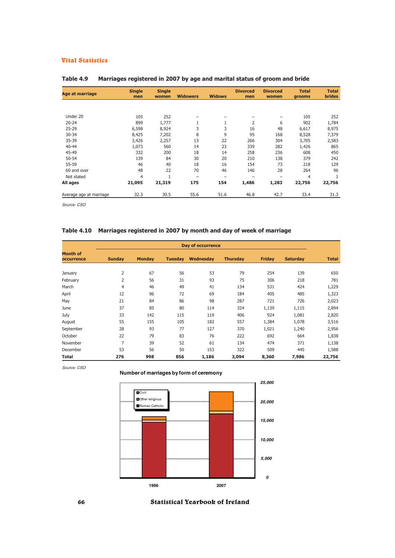| <b>Age at marriage</b>  | <b>Single</b> | <b>Single</b> |                   |                          | <b>Divorced</b> | <b>Divorced</b> | <b>Total</b> | <b>Total</b>  |
|-------------------------|---------------|---------------|-------------------|--------------------------|-----------------|-----------------|--------------|---------------|
|                         | men           | women         | <b>Widowers</b>   | <b>Widows</b>            | men             | women           | grooms       | <b>brides</b> |
|                         |               |               |                   |                          |                 |                 |              |               |
| Under 20                | 105           | 252           |                   |                          |                 |                 | 105          | 252           |
| $20 - 24$               | 899           | 1,777         | 1                 | 1                        | 2               | 6               | 902          | 1,784         |
| $25 - 29$               | 6,598         | 8,924         | 3                 | 3                        | 16              | 48              | 6,617        | 8,975         |
| 30-34                   | 8,425         | 7,202         | 8                 | 9                        | 95              | 168             | 8,528        | 7,379         |
| 35-39                   | 3,426         | 2,257         | 13                | 22                       | 266             | 304             | 3,705        | 2,583         |
| 40-44                   | 1,073         | 560           | 14                | 23                       | 339             | 282             | 1,426        | 865           |
| 45-49                   | 332           | 200           | 18                | 14                       | 258             | 236             | 608          | 450           |
| 50-54                   | 139           | 84            | 30                | 20                       | 210             | 138             | 379          | 242           |
| 55-59                   | 46            | 40            | 18                | 16                       | 154             | 73              | 218          | 129           |
| 60 and over             | 48            | 22            | 70                | 46                       | 146             | 28              | 264          | 96            |
| Not stated              | 4             |               | $\qquad \qquad -$ | $\overline{\phantom{m}}$ |                 |                 | 4            |               |
| All ages                | 21,095        | 21,319        | 175               | 154                      | 1,486           | 1,283           | 22,756       | 22,756        |
| Average age at marriage | 32.3          | 30.5          | 55.6              | 51.6                     | 46.8            | 42.7            | 33.4         | 31.3          |

## **Table 4.9 Marriages registered in 2007 by age and marital status of groom and bride**

*Source: CSO*

## **Table 4.10 Marriages registered in 2007 by month and day of week of marriage**

| Day of occurrence             |                |               |                |           |                 |               |                 |              |  |  |  |
|-------------------------------|----------------|---------------|----------------|-----------|-----------------|---------------|-----------------|--------------|--|--|--|
| <b>Month of</b><br>occurrence | <b>Sunday</b>  | <b>Monday</b> | <b>Tuesday</b> | Wednesday | <b>Thursday</b> | <b>Friday</b> | <b>Saturday</b> | <b>Total</b> |  |  |  |
|                               |                |               |                |           |                 |               |                 |              |  |  |  |
| January                       | 2              | 67            | 56             | 53        | 79              | 254           | 139             | 650          |  |  |  |
| February                      | $\overline{2}$ | 56            | 31             | 93        | 75              | 306           | 218             | 781          |  |  |  |
| March                         | $\overline{4}$ | 46            | 49             | 41        | 134             | 531           | 424             | 1,229        |  |  |  |
| April                         | 12             | 96            | 72             | 69        | 184             | 405           | 485             | 1,323        |  |  |  |
| May                           | 21             | 84            | 86             | 98        | 287             | 721           | 726             | 2,023        |  |  |  |
| June                          | 37             | 85            | 80             | 114       | 324             | 1,139         | 1,115           | 2,894        |  |  |  |
| July                          | 33             | 142           | 115            | 119       | 406             | 924           | 1,081           | 2,820        |  |  |  |
| August                        | 55             | 155           | 105            | 182       | 557             | 1,384         | 1,078           | 3,516        |  |  |  |
| September                     | 28             | 93            | 77             | 127       | 370             | 1,021         | 1,240           | 2,956        |  |  |  |
| October                       | 22             | 79            | 83             | 76        | 222             | 692           | 664             | 1,838        |  |  |  |
| November                      | $\overline{7}$ | 39            | 52             | 61        | 134             | 474           | 371             | 1,138        |  |  |  |
| December                      | 53             | 56            | 50             | 153       | 322             | 509           | 445             | 1,588        |  |  |  |
| <b>Total</b>                  | 276            | 998           | 856            | 1,186     | 3,094           | 8,360         | 7,986           | 22,756       |  |  |  |

*Source: CSO*

## **Number of marriages by form of ceremony**



66 Statistical Yearbook of Ireland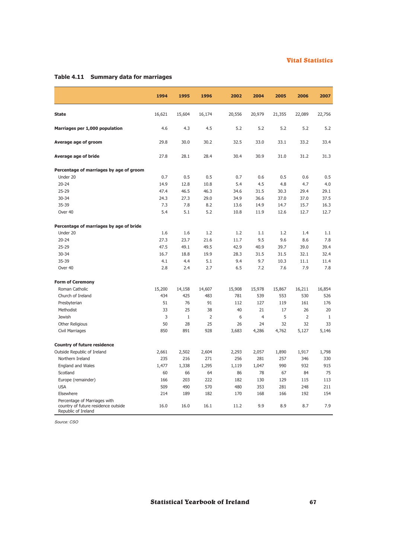# **Table 4.11 Summary data for marriages**

|                                                                                            | 1994   | 1995         | 1996           | 2002   | 2004           | 2005   | 2006           | 2007         |
|--------------------------------------------------------------------------------------------|--------|--------------|----------------|--------|----------------|--------|----------------|--------------|
| <b>State</b>                                                                               | 16,621 | 15,604       | 16,174         | 20,556 | 20,979         | 21,355 | 22,089         | 22,756       |
| Marriages per 1,000 population                                                             | 4.6    | 4.3          | 4.5            | 5.2    | 5.2            | 5.2    | 5.2            | 5.2          |
| Average age of groom                                                                       | 29.8   | 30.0         | 30.2           | 32.5   | 33.0           | 33.1   | 33.2           | 33.4         |
| Average age of bride                                                                       | 27.8   | 28.1         | 28.4           | 30.4   | 30.9           | 31.0   | 31.2           | 31.3         |
| Percentage of marriages by age of groom                                                    |        |              |                |        |                |        |                |              |
| Under 20                                                                                   | 0.7    | 0.5          | 0.5            | 0.7    | 0.6            | 0.5    | 0.6            | 0.5          |
| $20 - 24$                                                                                  | 14.9   | 12.8         | 10.8           | 5.4    | 4.5            | 4.8    | 4.7            | 4.0          |
| $25 - 29$                                                                                  | 47.4   | 46.5         | 46.3           | 34.6   | 31.5           | 30.3   | 29.4           | 29.1         |
| 30-34                                                                                      | 24.3   | 27.3         | 29.0           | 34.9   | 36.6           | 37.0   | 37.0           | 37.5         |
| 35-39                                                                                      | 7.3    | 7.8          | 8.2            | 13.6   | 14.9           | 14.7   | 15.7           | 16.3         |
| Over 40                                                                                    | 5.4    | 5.1          | 5.2            | 10.8   | 11.9           | 12.6   | 12.7           | 12.7         |
| Percentage of marriages by age of bride                                                    |        |              |                |        |                |        |                |              |
| Under 20                                                                                   | 1.6    | 1.6          | 1.2            | 1.2    | 1.1            | 1.2    | 1.4            | 1.1          |
| $20 - 24$                                                                                  | 27.3   | 23.7         | 21.6           | 11.7   | 9.5            | 9.6    | 8.6            | 7.8          |
| 25-29                                                                                      | 47.5   | 49.1         | 49.5           | 42.9   | 40.9           | 39.7   | 39.0           | 39.4         |
| $30 - 34$                                                                                  | 16.7   | 18.8         | 19.9           | 28.3   | 31.5           | 31.5   | 32.1           | 32.4         |
| 35-39                                                                                      | 4.1    | 4.4          | 5.1            | 9.4    | 9.7            | 10.3   | 11.1           | 11.4         |
| Over 40                                                                                    | 2.8    | 2.4          | 2.7            | 6.5    | 7.2            | 7.6    | 7.9            | 7.8          |
| <b>Form of Ceremony</b>                                                                    |        |              |                |        |                |        |                |              |
| Roman Catholic                                                                             | 15,200 | 14,158       | 14,607         | 15,908 | 15,978         | 15,867 | 16,211         | 16,854       |
| Church of Ireland                                                                          | 434    | 425          | 483            | 781    | 539            | 553    | 530            | 526          |
| Presbyterian                                                                               | 51     | 76           | 91             | 112    | 127            | 119    | 161            | 176          |
| Methodist                                                                                  | 33     | 25           | 38             | 40     | 21             | 17     | 26             | 20           |
| <b>Jewish</b>                                                                              | 3      | $\mathbf{1}$ | $\overline{2}$ | 6      | $\overline{4}$ | 5      | $\overline{2}$ | $\mathbf{1}$ |
| Other Religious                                                                            | 50     | 28           | 25             | 26     | 24             | 32     | 32             | 33           |
| Civil Marriages                                                                            | 850    | 891          | 928            | 3,683  | 4,286          | 4,762  | 5,127          | 5,146        |
| <b>Country of future residence</b>                                                         |        |              |                |        |                |        |                |              |
| Outside Republic of Ireland                                                                | 2,661  | 2,502        | 2,604          | 2,293  | 2,057          | 1,890  | 1,917          | 1,798        |
| Northern Ireland                                                                           | 235    | 216          | 271            | 256    | 281            | 257    | 346            | 330          |
| <b>England and Wales</b>                                                                   | 1,477  | 1,338        | 1,295          | 1,119  | 1,047          | 990    | 932            | 915          |
| Scotland                                                                                   | 60     | 66           | 64             | 86     | 78             | 67     | 84             | 75           |
| Europe (remainder)                                                                         | 166    | 203          | 222            | 182    | 130            | 129    | 115            | 113          |
| <b>USA</b>                                                                                 | 509    | 490          | 570            | 480    | 353            | 281    | 248            | 211          |
| Elsewhere                                                                                  | 214    | 189          | 182            | 170    | 168            | 166    | 192            | 154          |
| Percentage of Marriages with<br>country of future residence outside<br>Republic of Ireland | 16.0   | 16.0         | 16.1           | 11.2   | 9.9            | 8.9    | 8.7            | 7.9          |

*Source: CSO*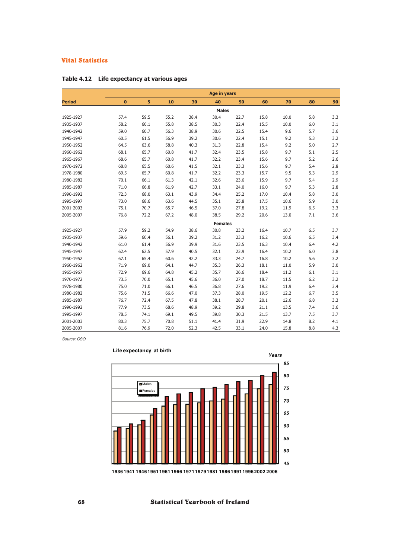|               |          | <b>Age in years</b> |      |      |                |      |      |      |     |     |
|---------------|----------|---------------------|------|------|----------------|------|------|------|-----|-----|
| <b>Period</b> | $\bf{0}$ | 5                   | 10   | 30   | 40             | 50   | 60   | 70   | 80  | 90  |
|               |          |                     |      |      | <b>Males</b>   |      |      |      |     |     |
| 1925-1927     | 57.4     | 59.5                | 55.2 | 38.4 | 30.4           | 22.7 | 15.8 | 10.0 | 5.8 | 3.3 |
| 1935-1937     | 58.2     | 60.1                | 55.8 | 38.5 | 30.3           | 22.4 | 15.5 | 10.0 | 6.0 | 3.1 |
| 1940-1942     | 59.0     | 60.7                | 56.3 | 38.9 | 30.6           | 22.5 | 15.4 | 9.6  | 5.7 | 3.6 |
| 1945-1947     | 60.5     | 61.5                | 56.9 | 39.2 | 30.6           | 22.4 | 15.1 | 9.2  | 5.3 | 3.2 |
| 1950-1952     | 64.5     | 63.6                | 58.8 | 40.3 | 31.3           | 22.8 | 15.4 | 9.2  | 5.0 | 2.7 |
| 1960-1962     | 68.1     | 65.7                | 60.8 | 41.7 | 32.4           | 23.5 | 15.8 | 9.7  | 5.1 | 2.5 |
| 1965-1967     | 68.6     | 65.7                | 60.8 | 41.7 | 32.2           | 23.4 | 15.6 | 9.7  | 5.2 | 2.6 |
| 1970-1972     | 68.8     | 65.5                | 60.6 | 41.5 | 32.1           | 23.3 | 15.6 | 9.7  | 5.4 | 2.8 |
| 1978-1980     | 69.5     | 65.7                | 60.8 | 41.7 | 32.2           | 23.3 | 15.7 | 9.5  | 5.3 | 2.9 |
| 1980-1982     | 70.1     | 66.1                | 61.3 | 42.1 | 32.6           | 23.6 | 15.9 | 9.7  | 5.4 | 2.9 |
| 1985-1987     | 71.0     | 66.8                | 61.9 | 42.7 | 33.1           | 24.0 | 16.0 | 9.7  | 5.3 | 2.8 |
| 1990-1992     | 72.3     | 68.0                | 63.1 | 43.9 | 34.4           | 25.2 | 17.0 | 10.4 | 5.8 | 3.0 |
| 1995-1997     | 73.0     | 68.6                | 63.6 | 44.5 | 35.1           | 25.8 | 17.5 | 10.6 | 5.9 | 3.0 |
| 2001-2003     | 75.1     | 70.7                | 65.7 | 46.5 | 37.0           | 27.8 | 19.2 | 11.9 | 6.5 | 3.3 |
| 2005-2007     | 76.8     | 72.2                | 67.2 | 48.0 | 38.5           | 29.2 | 20.6 | 13.0 | 7.1 | 3.6 |
|               |          |                     |      |      | <b>Females</b> |      |      |      |     |     |
| 1925-1927     | 57.9     | 59.2                | 54.9 | 38.6 | 30.8           | 23.2 | 16.4 | 10.7 | 6.5 | 3.7 |
| 1935-1937     | 59.6     | 60.4                | 56.1 | 39.2 | 31.2           | 23.3 | 16.2 | 10.6 | 6.5 | 3.4 |
| 1940-1942     | 61.0     | 61.4                | 56.9 | 39.9 | 31.6           | 23.5 | 16.3 | 10.4 | 6.4 | 4.2 |
| 1945-1947     | 62.4     | 62.5                | 57.9 | 40.5 | 32.1           | 23.9 | 16.4 | 10.2 | 6.0 | 3.8 |
| 1950-1952     | 67.1     | 65.4                | 60.6 | 42.2 | 33.3           | 24.7 | 16.8 | 10.2 | 5.6 | 3.2 |
| 1960-1962     | 71.9     | 69.0                | 64.1 | 44.7 | 35.3           | 26.3 | 18.1 | 11.0 | 5.9 | 3.0 |
| 1965-1967     | 72.9     | 69.6                | 64.8 | 45.2 | 35.7           | 26.6 | 18.4 | 11.2 | 6.1 | 3.1 |
| 1970-1972     | 73.5     | 70.0                | 65.1 | 45.6 | 36.0           | 27.0 | 18.7 | 11.5 | 6.2 | 3.2 |
| 1978-1980     | 75.0     | 71.0                | 66.1 | 46.5 | 36.8           | 27.6 | 19.2 | 11.9 | 6.4 | 3.4 |
| 1980-1982     | 75.6     | 71.5                | 66.6 | 47.0 | 37.3           | 28.0 | 19.5 | 12.2 | 6.7 | 3.5 |
| 1985-1987     | 76.7     | 72.4                | 67.5 | 47.8 | 38.1           | 28.7 | 20.1 | 12.6 | 6.8 | 3.3 |
| 1990-1992     | 77.9     | 73.5                | 68.6 | 48.9 | 39.2           | 29.8 | 21.1 | 13.5 | 7.4 | 3.6 |
| 1995-1997     | 78.5     | 74.1                | 69.1 | 49.5 | 39.8           | 30.3 | 21.5 | 13.7 | 7.5 | 3.7 |
| 2001-2003     | 80.3     | 75.7                | 70.8 | 51.1 | 41.4           | 31.9 | 22.9 | 14.8 | 8.2 | 4.1 |
| 2005-2007     | 81.6     | 76.9                | 72.0 | 52.3 | 42.5           | 33.1 | 24.0 | 15.8 | 8.8 | 4.3 |

## **Table 4.12 Life expectancy at various ages**

*Source: CSO*



# **Life expectancy at birth**

**19361941 1946195119611966 197119791981 1986199119962002 2006**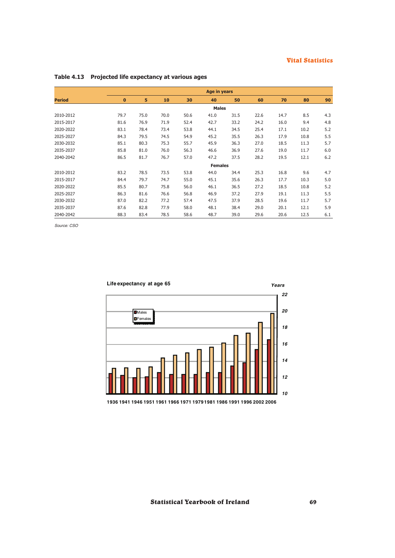|               | <b>Age in years</b> |      |      |      |                |      |      |      |      |       |
|---------------|---------------------|------|------|------|----------------|------|------|------|------|-------|
| <b>Period</b> | $\bf{0}$            | 5    | 10   | 30   | 40             | 50   | 60   | 70   | 80   | 90    |
|               |                     |      |      |      | <b>Males</b>   |      |      |      |      |       |
| 2010-2012     | 79.7                | 75.0 | 70.0 | 50.6 | 41.0           | 31.5 | 22.6 | 14.7 | 8.5  | 4.3   |
| 2015-2017     | 81.6                | 76.9 | 71.9 | 52.4 | 42.7           | 33.2 | 24.2 | 16.0 | 9.4  | 4.8   |
| 2020-2022     | 83.1                | 78.4 | 73.4 | 53.8 | 44.1           | 34.5 | 25.4 | 17.1 | 10.2 | 5.2   |
| 2025-2027     | 84.3                | 79.5 | 74.5 | 54.9 | 45.2           | 35.5 | 26.3 | 17.9 | 10.8 | 5.5   |
| 2030-2032     | 85.1                | 80.3 | 75.3 | 55.7 | 45.9           | 36.3 | 27.0 | 18.5 | 11.3 | 5.7   |
| 2035-2037     | 85.8                | 81.0 | 76.0 | 56.3 | 46.6           | 36.9 | 27.6 | 19.0 | 11.7 | 6.0   |
| 2040-2042     | 86.5                | 81.7 | 76.7 | 57.0 | 47.2           | 37.5 | 28.2 | 19.5 | 12.1 | $6.2$ |
|               |                     |      |      |      | <b>Females</b> |      |      |      |      |       |
| 2010-2012     | 83.2                | 78.5 | 73.5 | 53.8 | 44.0           | 34.4 | 25.3 | 16.8 | 9.6  | 4.7   |
| 2015-2017     | 84.4                | 79.7 | 74.7 | 55.0 | 45.1           | 35.6 | 26.3 | 17.7 | 10.3 | 5.0   |
| 2020-2022     | 85.5                | 80.7 | 75.8 | 56.0 | 46.1           | 36.5 | 27.2 | 18.5 | 10.8 | 5.2   |
| 2025-2027     | 86.3                | 81.6 | 76.6 | 56.8 | 46.9           | 37.2 | 27.9 | 19.1 | 11.3 | 5.5   |
| 2030-2032     | 87.0                | 82.2 | 77.2 | 57.4 | 47.5           | 37.9 | 28.5 | 19.6 | 11.7 | 5.7   |
| 2035-2037     | 87.6                | 82.8 | 77.9 | 58.0 | 48.1           | 38.4 | 29.0 | 20.1 | 12.1 | 5.9   |
| 2040-2042     | 88.3                | 83.4 | 78.5 | 58.6 | 48.7           | 39.0 | 29.6 | 20.6 | 12.5 | 6.1   |

# **Table 4.13 Projected life expectancy at various ages**

*Source: CSO*



**1936 1941 1946 1951 1961 1966 1971 19791981 1986 1991 1996 2002 2006**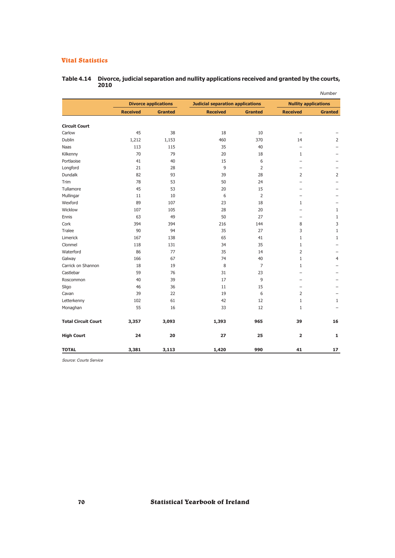|                            |                 |                             |                                         |                |                             | Number                   |
|----------------------------|-----------------|-----------------------------|-----------------------------------------|----------------|-----------------------------|--------------------------|
|                            |                 | <b>Divorce applications</b> | <b>Judicial separation applications</b> |                | <b>Nullity applications</b> |                          |
|                            | <b>Received</b> | <b>Granted</b>              | <b>Received</b>                         | <b>Granted</b> | <b>Received</b>             | <b>Granted</b>           |
| <b>Circuit Court</b>       |                 |                             |                                         |                |                             |                          |
| Carlow                     | 45              | 38                          | 18                                      | 10             | $\overline{\phantom{0}}$    |                          |
| Dublin                     | 1,212           | 1,153                       | 460                                     | 370            | 14                          | 2                        |
| Naas                       | 113             | 115                         | 35                                      | 40             | $\overline{\phantom{0}}$    |                          |
| Kilkenny                   | 70              | 79                          | 20                                      | 18             | $\mathbf{1}$                | $\overline{\phantom{0}}$ |
| Portlaoise                 | 41              | 40                          | 15                                      | 6              | $\overline{\phantom{0}}$    | $\overline{\phantom{0}}$ |
| Longford                   | 21              | 28                          | 9                                       | $\overline{2}$ | $\overline{\phantom{0}}$    | $\overline{\phantom{0}}$ |
| Dundalk                    | 82              | 93                          | 39                                      | 28             | $\overline{2}$              | $\overline{2}$           |
| Trim                       | 78              | 53                          | 50                                      | 24             | $\overline{\phantom{0}}$    | $\overline{\phantom{0}}$ |
| Tullamore                  | 45              | 53                          | 20                                      | 15             | $\overline{\phantom{0}}$    | $\overline{\phantom{0}}$ |
| Mullingar                  | 11              | 10                          | 6                                       | $\overline{2}$ | -                           |                          |
| Wexford                    | 89              | 107                         | 23                                      | 18             | $\mathbf{1}$                |                          |
| Wicklow                    | 107             | 105                         | 28                                      | 20             | $\overline{\phantom{0}}$    | $\mathbf{1}$             |
| Ennis                      | 63              | 49                          | 50                                      | 27             |                             | $1\,$                    |
| Cork                       | 394             | 394                         | 216                                     | 144            | 8                           | 3                        |
| Tralee                     | 90              | 94                          | 35                                      | 27             | 3                           | $1\,$                    |
| Limerick                   | 167             | 138                         | 65                                      | 41             | $\mathbf{1}$                | $1\,$                    |
| Clonmel                    | 118             | 131                         | 34                                      | 35             | $\mathbf{1}$                | $\overline{\phantom{0}}$ |
| Waterford                  | 86              | 77                          | 35                                      | 14             | $\overline{2}$              |                          |
| Galway                     | 166             | 67                          | 74                                      | 40             | $\mathbf{1}$                | $\overline{4}$           |
| Carrick on Shannon         | 18              | 19                          | 8                                       | $\overline{7}$ | $\mathbf{1}$                | $\overline{\phantom{0}}$ |
| Castlebar                  | 59              | 76                          | 31                                      | 23             | $\overline{\phantom{0}}$    | $\overline{\phantom{0}}$ |
| Roscommon                  | 40              | 39                          | 17                                      | 9              | $\overline{\phantom{0}}$    | $\overline{\phantom{0}}$ |
| Sligo                      | 46              | 36                          | 11                                      | 15             | $\overline{\phantom{0}}$    |                          |
| Cavan                      | 39              | 22                          | 19                                      | 6              | $\overline{2}$              |                          |
| Letterkenny                | 102             | 61                          | 42                                      | 12             | $\mathbf{1}$                | $\mathbf{1}$             |
| Monaghan                   | 55              | 16                          | 33                                      | 12             | $\mathbf{1}$                |                          |
| <b>Total Circuit Court</b> | 3,357           | 3,093                       | 1,393                                   | 965            | 39                          | 16                       |
| <b>High Court</b>          | 24              | 20                          | 27                                      | 25             | $\overline{\mathbf{2}}$     | 1                        |
| <b>TOTAL</b>               | 3,381           | 3,113                       | 1,420                                   | 990            | 41                          | 17                       |

#### **Table 4.14 Divorce, judicial separation and nullity applications received and granted by the courts, 2010**

*Source: Courts Service*